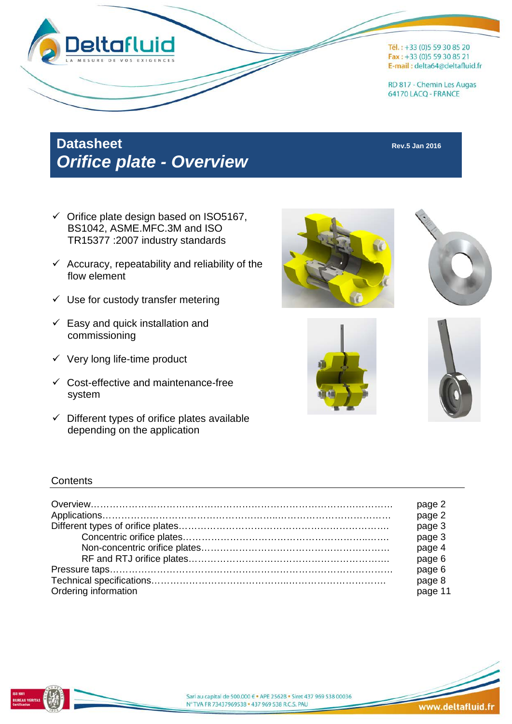

# **Datasheet Rev.5 Jan 2016** *Orifice plate - Overview*

- $\checkmark$  Orifice plate design based on ISO5167, BS1042, ASME.MFC.3M and ISO TR15377 :2007 industry standards
- $\checkmark$  Accuracy, repeatability and reliability of the flow element
- $\checkmark$  Use for custody transfer metering
- $\checkmark$  Easy and quick installation and commissioning
- $\checkmark$  Very long life-time product
- $\checkmark$  Cost-effective and maintenance-free system
- $\checkmark$  Different types of orifice plates available depending on the application









#### **Contents**

|                      | page 2            |
|----------------------|-------------------|
|                      | page 2            |
|                      | page 3            |
|                      | page 3            |
|                      | page 4            |
|                      | page 6            |
|                      | page 6            |
| Ordering information | page 8<br>page 11 |



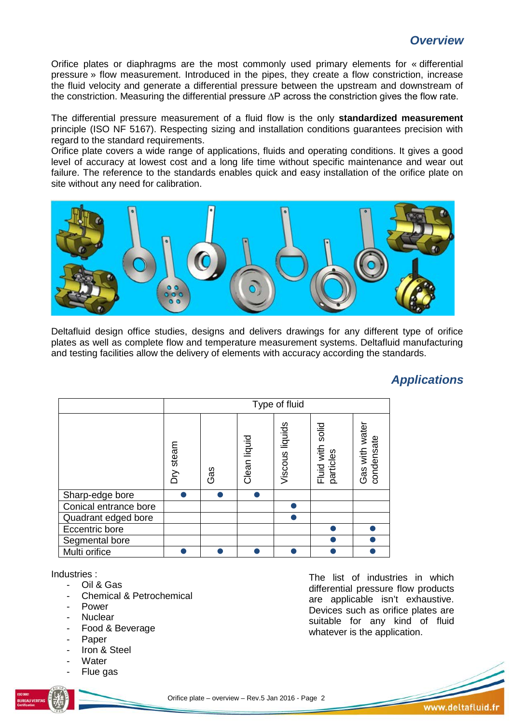## *Overview*

Orifice plates or diaphragms are the most commonly used primary elements for « differential pressure » flow measurement. Introduced in the pipes, they create a flow constriction, increase the fluid velocity and generate a differential pressure between the upstream and downstream of the constriction. Measuring the differential pressure ∆P across the constriction gives the flow rate.

The differential pressure measurement of a fluid flow is the only **standardized measurement** principle (ISO NF 5167). Respecting sizing and installation conditions guarantees precision with regard to the standard requirements.

Orifice plate covers a wide range of applications, fluids and operating conditions. It gives a good level of accuracy at lowest cost and a long life time without specific maintenance and wear out failure. The reference to the standards enables quick and easy installation of the orifice plate on site without any need for calibration.



Deltafluid design office studies, designs and delivers drawings for any different type of orifice plates as well as complete flow and temperature measurement systems. Deltafluid manufacturing and testing facilities allow the delivery of elements with accuracy according the standards.

## *Applications*

|                       |           | Type of fluid |              |                 |                               |                              |  |  |  |  |  |  |
|-----------------------|-----------|---------------|--------------|-----------------|-------------------------------|------------------------------|--|--|--|--|--|--|
|                       | Dry steam | Gas           | Clean liquid | Viscous liquids | Fluid with solid<br>particles | Gas with water<br>condensate |  |  |  |  |  |  |
| Sharp-edge bore       |           |               |              |                 |                               |                              |  |  |  |  |  |  |
| Conical entrance bore |           |               |              |                 |                               |                              |  |  |  |  |  |  |
| Quadrant edged bore   |           |               |              |                 |                               |                              |  |  |  |  |  |  |
| Eccentric bore        |           |               |              |                 |                               |                              |  |  |  |  |  |  |
| Segmental bore        |           |               |              |                 |                               |                              |  |  |  |  |  |  |
| Multi orifice         |           |               |              |                 |                               |                              |  |  |  |  |  |  |

Industries :

- Oil & Gas
- Chemical & Petrochemical
- **Power**
- **Nuclear**
- Food & Beverage
- Paper
- Iron & Steel
- **Water**
- Flue gas



The list of industries in which differential pressure flow products are applicable isn't exhaustive. Devices such as orifice plates are suitable for any kind of fluid whatever is the application.

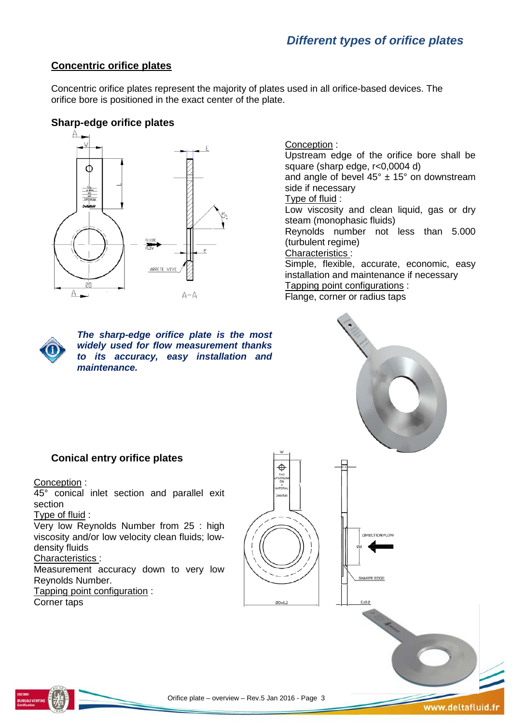# *Different types of orifice plates*

#### **Concentric orifice plates**

Concentric orifice plates represent the majority of plates used in all orifice-based devices. The orifice bore is positioned in the exact center of the plate.

#### **Sharp-edge orifice plates**



*The sharp-edge orifice plate is the most widely used for flow measurement thanks to its accuracy, easy installation and maintenance.*

#### Conception : Upstream edge of the orifice bore shall be square (sharp edge, r<0,0004 d) and angle of bevel  $45^\circ \pm 15^\circ$  on downstream side if necessary Type of fluid : Low viscosity and clean liquid, gas or dry steam (monophasic fluids) Reynolds number not less than 5.000 (turbulent regime) Characteristics : Simple, flexible, accurate, economic, easy installation and maintenance if necessary Tapping point configurations :

Flange, corner or radius taps



SHARPE EDGE

## **Conical entry orifice plates**

#### Conception :

45° conical inlet section and parallel exit section

#### Type of fluid :

Very low Reynolds Number from 25 : high viscosity and/or low velocity clean fluids; lowdensity fluids

#### Characteristics :

Measurement accuracy down to very low Reynolds Number.

Tapping point configuration :

Corner taps



Ф

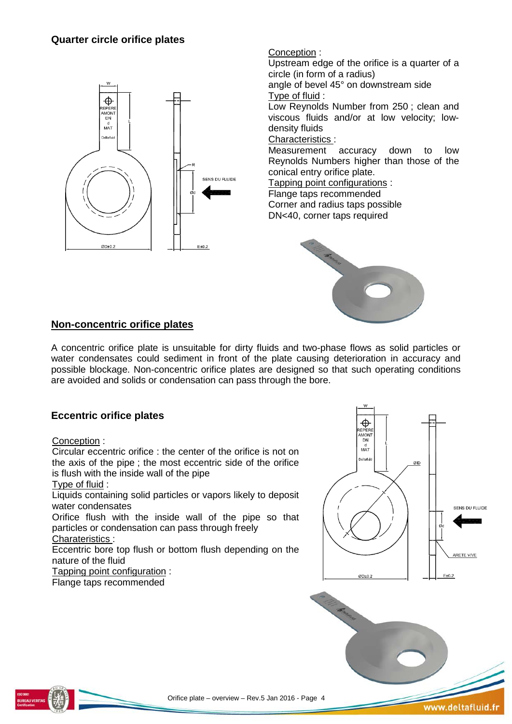## **Quarter circle orifice plates**



#### Conception :

Upstream edge of the orifice is a quarter of a circle (in form of a radius)

angle of bevel 45° on downstream side Type of fluid :

Low Reynolds Number from 250 ; clean and viscous fluids and/or at low velocity; lowdensity fluids

#### Characteristics :

Measurement accuracy down to low Reynolds Numbers higher than those of the conical entry orifice plate.

Tapping point configurations :

Flange taps recommended Corner and radius taps possible

DN<40, corner taps required



## **Non-concentric orifice plates**

A concentric orifice plate is unsuitable for dirty fluids and two-phase flows as solid particles or water condensates could sediment in front of the plate causing deterioration in accuracy and possible blockage. Non-concentric orifice plates are designed so that such operating conditions are avoided and solids or condensation can pass through the bore.

## **Eccentric orifice plates**

#### Conception :

Circular eccentric orifice : the center of the orifice is not on the axis of the pipe ; the most eccentric side of the orifice is flush with the inside wall of the pipe Type of fluid :

Liquids containing solid particles or vapors likely to deposit water condensates

Orifice flush with the inside wall of the pipe so that particles or condensation can pass through freely Charateristics :

Eccentric bore top flush or bottom flush depending on the nature of the fluid

Tapping point configuration :

Flange taps recommended





www.deltafluid.fr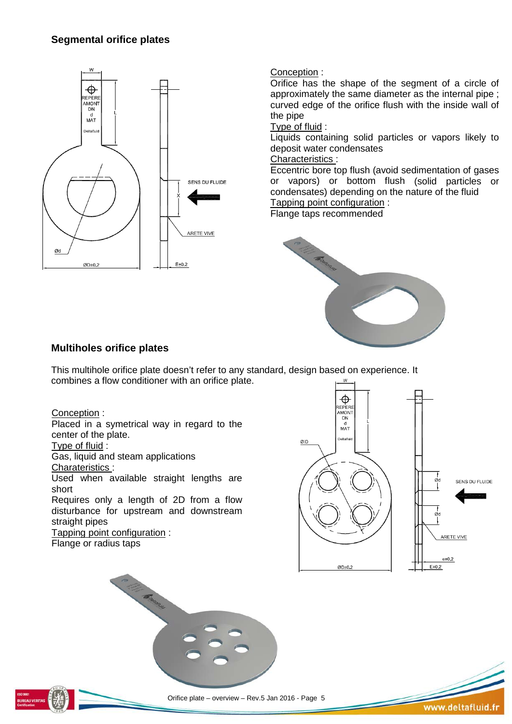## **Segmental orifice plates**



### Conception :

Orifice has the shape of the segment of a circle of approximately the same diameter as the internal pipe ; curved edge of the orifice flush with the inside wall of the pipe

#### Type of fluid :

Liquids containing solid particles or vapors likely to deposit water condensates

## Characteristics :

Eccentric bore top flush (avoid sedimentation of gases or vapors) or bottom flush (solid particles or condensates) depending on the nature of the fluid Tapping point configuration :

Flange taps recommended



## **Multiholes orifice plates**

This multihole orifice plate doesn't refer to any standard, design based on experience. It combines a flow conditioner with an orifice plate.

Conception :

Placed in a symetrical way in regard to the center of the plate.

Type of fluid :

Gas, liquid and steam applications

Charateristics :

Used when available straight lengths are short

Requires only a length of 2D from a flow disturbance for upstream and downstream straight pipes

Tapping point configuration : Flange or radius taps





Orifice plate – overview – Rev.5 Jan 2016 - Page 5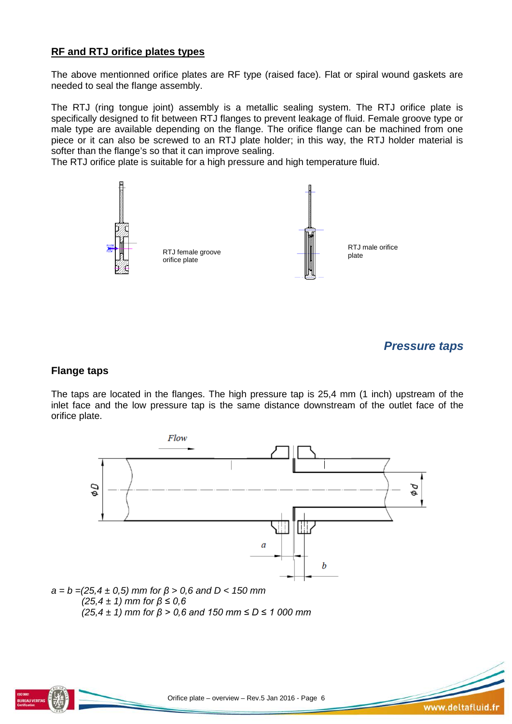## **RF and RTJ orifice plates types**

The above mentionned orifice plates are RF type (raised face). Flat or spiral wound gaskets are needed to seal the flange assembly.

The RTJ (ring tongue joint) assembly is a metallic sealing system. The RTJ orifice plate is specifically designed to fit between RTJ flanges to prevent leakage of fluid. Female groove type or male type are available depending on the flange. The orifice flange can be machined from one piece or it can also be screwed to an RTJ plate holder; in this way, the RTJ holder material is softer than the flange's so that it can improve sealing.

The RTJ orifice plate is suitable for a high pressure and high temperature fluid.



#### *Pressure taps*

#### **Flange taps**

The taps are located in the flanges. The high pressure tap is 25,4 mm (1 inch) upstream of the inlet face and the low pressure tap is the same distance downstream of the outlet face of the orifice plate.



*(25,4 ± 1) mm for β > 0,6 and 150 mm ≤ D ≤ 1 000 mm*

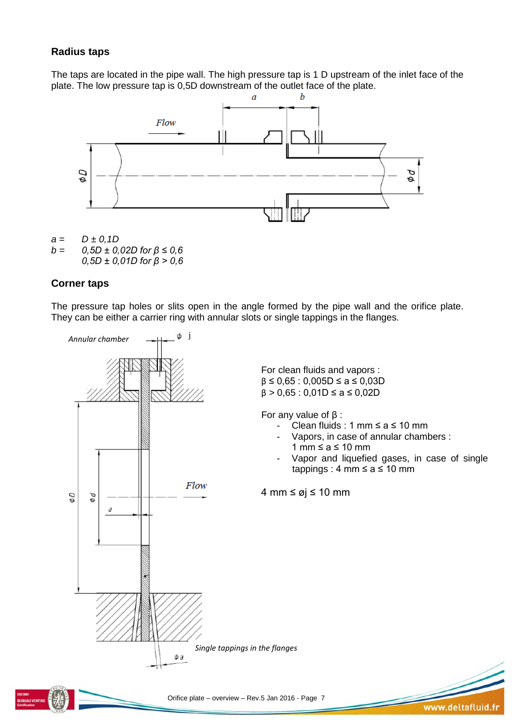## **Radius taps**

The taps are located in the pipe wall. The high pressure tap is 1 D upstream of the inlet face of the plate. The low pressure tap is 0,5D downstream of the outlet face of the plate.



 $a = D \pm 0, 1D$ <br> $b = 0.5D \pm 0.$ *b = 0,5D ± 0,02D for β ≤ 0,6 0,5D ± 0,01D for β > 0,6*

### **Corner taps**

The pressure tap holes or slits open in the angle formed by the pipe wall and the orifice plate. They can be either a carrier ring with annular slots or single tappings in the flanges.



Orifice plate – overview – Rev.5 Jan 2016 - Page 7

www.deltafluid.fr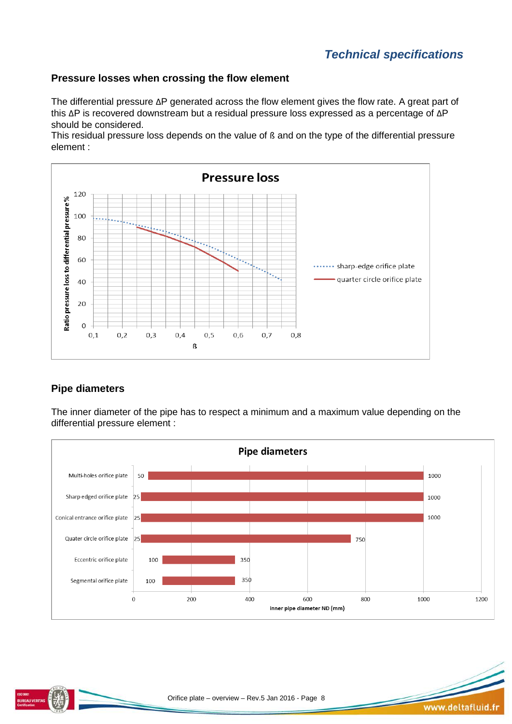## **Pressure losses when crossing the flow element**

The differential pressure ΔP generated across the flow element gives the flow rate. A great part of this ΔP is recovered downstream but a residual pressure loss expressed as a percentage of ΔP should be considered.

This residual pressure loss depends on the value of ß and on the type of the differential pressure element :



## **Pipe diameters**

The inner diameter of the pipe has to respect a minimum and a maximum value depending on the differential pressure element :



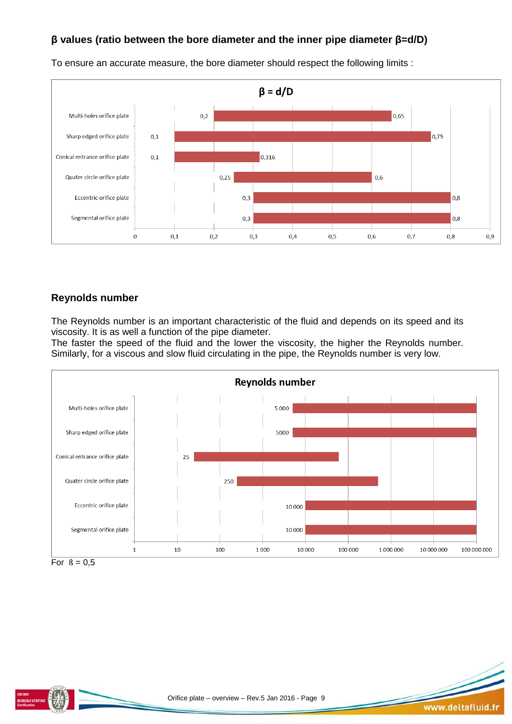## **β values (ratio between the bore diameter and the inner pipe diameter β=d/D)**



To ensure an accurate measure, the bore diameter should respect the following limits :

## **Reynolds number**

The Reynolds number is an important characteristic of the fluid and depends on its speed and its viscosity. It is as well a function of the pipe diameter.

The faster the speed of the fluid and the lower the viscosity, the higher the Reynolds number. Similarly, for a viscous and slow fluid circulating in the pipe, the Reynolds number is very low.





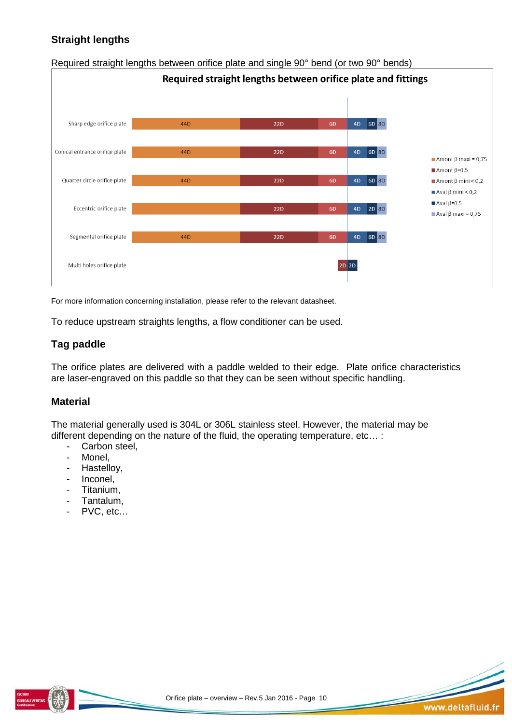## **Straight lengths**



Required straight lengths between orifice plate and single 90° bend (or two 90° bends)

For more information concerning installation, please refer to the relevant datasheet.

To reduce upstream straights lengths, a flow conditioner can be used.

## **Tag paddle**

The orifice plates are delivered with a paddle welded to their edge. Plate orifice characteristics are laser-engraved on this paddle so that they can be seen without specific handling.

### **Material**

The material generally used is 304L or 306L stainless steel. However, the material may be different depending on the nature of the fluid, the operating temperature, etc… :

- Carbon steel,<br>- Monel
- Monel,
- Hastelloy,
- Inconel,
- Titanium,
- Tantalum,
- PVC, etc…



www.deltafluid.fr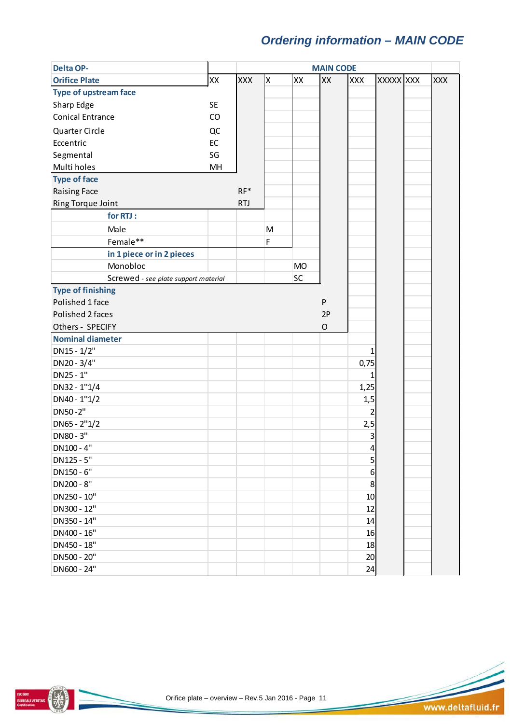# *Ordering information – MAIN CODE*

| <b>Delta OP-</b>                     | <b>MAIN CODE</b> |            |                    |           |             |                  |                  |  |            |  |
|--------------------------------------|------------------|------------|--------------------|-----------|-------------|------------------|------------------|--|------------|--|
| <b>Orifice Plate</b>                 | XX               | <b>XXX</b> | $\pmb{\mathsf{X}}$ | XX        | XX          | XXX              | <b>XXXXX XXX</b> |  | <b>XXX</b> |  |
| <b>Type of upstream face</b>         |                  |            |                    |           |             |                  |                  |  |            |  |
| Sharp Edge                           | <b>SE</b>        |            |                    |           |             |                  |                  |  |            |  |
| <b>Conical Entrance</b>              | CO               |            |                    |           |             |                  |                  |  |            |  |
| Quarter Circle                       | QC               |            |                    |           |             |                  |                  |  |            |  |
| Eccentric                            | EC               |            |                    |           |             |                  |                  |  |            |  |
| Segmental                            | SG               |            |                    |           |             |                  |                  |  |            |  |
| Multi holes                          | MH               |            |                    |           |             |                  |                  |  |            |  |
| <b>Type of face</b>                  |                  |            |                    |           |             |                  |                  |  |            |  |
| <b>Raising Face</b>                  |                  | $RF*$      |                    |           |             |                  |                  |  |            |  |
| Ring Torque Joint                    |                  | <b>RTJ</b> |                    |           |             |                  |                  |  |            |  |
| for RTJ:                             |                  |            |                    |           |             |                  |                  |  |            |  |
| Male                                 |                  |            | M                  |           |             |                  |                  |  |            |  |
| Female**                             |                  |            | F                  |           |             |                  |                  |  |            |  |
| in 1 piece or in 2 pieces            |                  |            |                    |           |             |                  |                  |  |            |  |
| Monobloc                             |                  |            |                    | <b>MO</b> |             |                  |                  |  |            |  |
| Screwed - see plate support material |                  |            |                    | SC        |             |                  |                  |  |            |  |
| <b>Type of finishing</b>             |                  |            |                    |           |             |                  |                  |  |            |  |
| Polished 1 face                      |                  |            |                    |           | P           |                  |                  |  |            |  |
| Polished 2 faces                     |                  |            |                    |           | 2P          |                  |                  |  |            |  |
| Others - SPECIFY                     |                  |            |                    |           | $\mathsf O$ |                  |                  |  |            |  |
| <b>Nominal diameter</b>              |                  |            |                    |           |             |                  |                  |  |            |  |
| DN15 - 1/2"                          |                  |            |                    |           |             | 1                |                  |  |            |  |
| DN20 - 3/4"                          |                  |            |                    |           |             | 0,75             |                  |  |            |  |
| DN25 - 1"                            |                  |            |                    |           |             | 1                |                  |  |            |  |
| DN32 - 1"1/4                         |                  |            |                    |           |             | 1,25             |                  |  |            |  |
| $DN40 - 1"1/2$                       |                  |            |                    |           |             | 1,5              |                  |  |            |  |
| DN50-2"                              |                  |            |                    |           |             | 2                |                  |  |            |  |
| $DN65 - 2''1/2$                      |                  |            |                    |           |             | 2,5              |                  |  |            |  |
| DN80 - 3"                            |                  |            |                    |           |             | 3                |                  |  |            |  |
| DN100 - 4"                           |                  |            |                    |           |             | 4                |                  |  |            |  |
| DN125 - 5"                           |                  |            |                    |           |             | 5                |                  |  |            |  |
| DN150 - 6"                           |                  |            |                    |           |             | $6 \overline{6}$ |                  |  |            |  |
| DN200 - 8"                           |                  |            |                    |           |             | 8                |                  |  |            |  |
| DN250 - 10"                          |                  |            |                    |           |             | 10               |                  |  |            |  |
| DN300 - 12"                          |                  |            |                    |           |             | 12               |                  |  |            |  |
| DN350 - 14"                          |                  |            |                    |           |             | 14               |                  |  |            |  |
| DN400 - 16"                          |                  |            |                    |           |             | 16               |                  |  |            |  |
| DN450 - 18"                          |                  |            |                    |           |             | 18               |                  |  |            |  |
| DN500 - 20"                          |                  |            |                    |           |             | 20               |                  |  |            |  |
| DN600 - 24"                          |                  |            |                    |           |             | 24               |                  |  |            |  |



BUREAU VERITAS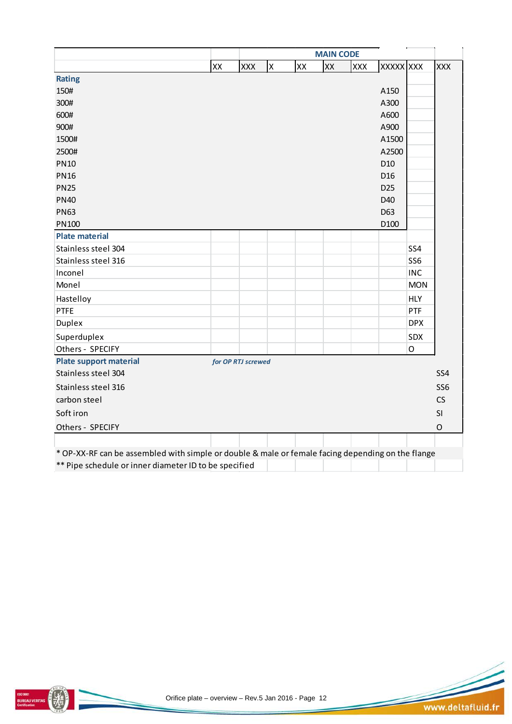|                                                                                                   | <b>MAIN CODE</b> |                    |   |    |    |            |                  |                 |                 |  |
|---------------------------------------------------------------------------------------------------|------------------|--------------------|---|----|----|------------|------------------|-----------------|-----------------|--|
|                                                                                                   | XX               | <b>XXX</b>         | X | XX | XX | <b>XXX</b> | <b>XXXXX XXX</b> |                 | <b>XXX</b>      |  |
| <b>Rating</b>                                                                                     |                  |                    |   |    |    |            |                  |                 |                 |  |
| 150#                                                                                              |                  |                    |   |    |    |            | A150             |                 |                 |  |
| 300#                                                                                              |                  |                    |   |    |    |            | A300             |                 |                 |  |
| 600#                                                                                              |                  |                    |   |    |    |            | A600             |                 |                 |  |
| 900#                                                                                              |                  |                    |   |    |    |            | A900             |                 |                 |  |
| 1500#                                                                                             |                  |                    |   |    |    |            | A1500            |                 |                 |  |
| 2500#                                                                                             |                  |                    |   |    |    |            | A2500            |                 |                 |  |
| <b>PN10</b>                                                                                       |                  |                    |   |    |    |            | D <sub>10</sub>  |                 |                 |  |
| <b>PN16</b>                                                                                       |                  |                    |   |    |    |            | D <sub>16</sub>  |                 |                 |  |
| <b>PN25</b>                                                                                       |                  |                    |   |    |    |            | D <sub>25</sub>  |                 |                 |  |
| <b>PN40</b>                                                                                       |                  |                    |   |    |    |            | D40              |                 |                 |  |
| <b>PN63</b>                                                                                       |                  |                    |   |    |    |            | D63              |                 |                 |  |
| PN100                                                                                             |                  |                    |   |    |    |            | D100             |                 |                 |  |
| <b>Plate material</b>                                                                             |                  |                    |   |    |    |            |                  |                 |                 |  |
| Stainless steel 304                                                                               |                  |                    |   |    |    |            |                  | SS4             |                 |  |
| Stainless steel 316                                                                               |                  |                    |   |    |    |            |                  | SS <sub>6</sub> |                 |  |
| Inconel                                                                                           |                  |                    |   |    |    |            |                  | <b>INC</b>      |                 |  |
| Monel                                                                                             |                  |                    |   |    |    |            |                  | <b>MON</b>      |                 |  |
| Hastelloy                                                                                         |                  |                    |   |    |    |            |                  | <b>HLY</b>      |                 |  |
| <b>PTFE</b>                                                                                       |                  |                    |   |    |    |            |                  | PTF             |                 |  |
| <b>Duplex</b>                                                                                     |                  |                    |   |    |    |            |                  | <b>DPX</b>      |                 |  |
| Superduplex                                                                                       |                  |                    |   |    |    |            |                  | SDX             |                 |  |
| Others - SPECIFY                                                                                  |                  |                    |   |    |    |            |                  | $\mathsf O$     |                 |  |
| <b>Plate support material</b>                                                                     |                  | for OP RTJ screwed |   |    |    |            |                  |                 |                 |  |
| Stainless steel 304                                                                               |                  |                    |   |    |    |            |                  |                 | SS4             |  |
| Stainless steel 316                                                                               |                  |                    |   |    |    |            |                  |                 | SS <sub>6</sub> |  |
| carbon steel                                                                                      |                  |                    |   |    |    |            |                  |                 | CS              |  |
| Soft iron                                                                                         |                  |                    |   |    |    |            |                  |                 | SI              |  |
| Others - SPECIFY                                                                                  |                  |                    |   |    |    |            |                  |                 | $\mathsf O$     |  |
|                                                                                                   |                  |                    |   |    |    |            |                  |                 |                 |  |
| * OP-XX-RF can be assembled with simple or double & male or female facing depending on the flange |                  |                    |   |    |    |            |                  |                 |                 |  |
| ** Pipe schedule or inner diameter ID to be specified                                             |                  |                    |   |    |    |            |                  |                 |                 |  |



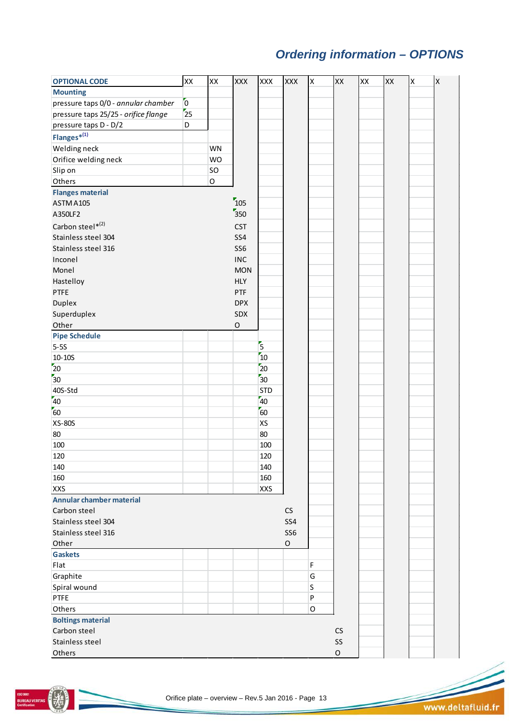# *Ordering information – OPTIONS*

| <b>OPTIONAL CODE</b>                 | XX             | XX          | <b>XXX</b>      | XXX                                  | <b>XXX</b>      | X       | XX          | XX | XX | X | $\boldsymbol{\mathsf{X}}$ |
|--------------------------------------|----------------|-------------|-----------------|--------------------------------------|-----------------|---------|-------------|----|----|---|---------------------------|
| <b>Mounting</b>                      |                |             |                 |                                      |                 |         |             |    |    |   |                           |
| pressure taps 0/0 - annular chamber  | $\overline{0}$ |             |                 |                                      |                 |         |             |    |    |   |                           |
| pressure taps 25/25 - orifice flange | 25             |             |                 |                                      |                 |         |             |    |    |   |                           |
| pressure taps D - D/2                | D              |             |                 |                                      |                 |         |             |    |    |   |                           |
| $Flanges^{*(1)}$                     |                |             |                 |                                      |                 |         |             |    |    |   |                           |
| <b>Welding neck</b>                  |                | <b>WN</b>   |                 |                                      |                 |         |             |    |    |   |                           |
| Orifice welding neck                 |                | <b>WO</b>   |                 |                                      |                 |         |             |    |    |   |                           |
| Slip on                              |                | SO          |                 |                                      |                 |         |             |    |    |   |                           |
| Others                               |                | $\mathsf O$ |                 |                                      |                 |         |             |    |    |   |                           |
| <b>Flanges material</b>              |                |             |                 |                                      |                 |         |             |    |    |   |                           |
| ASTM A105                            |                |             | $\frac{1}{2}$   |                                      |                 |         |             |    |    |   |                           |
| A350LF2                              |                |             | $\frac{1}{350}$ |                                      |                 |         |             |    |    |   |                           |
| Carbon steel*(2)                     |                |             | <b>CST</b>      |                                      |                 |         |             |    |    |   |                           |
|                                      |                |             |                 |                                      |                 |         |             |    |    |   |                           |
| Stainless steel 304                  |                |             | SS4             |                                      |                 |         |             |    |    |   |                           |
| Stainless steel 316                  |                |             | SS <sub>6</sub> |                                      |                 |         |             |    |    |   |                           |
| Inconel                              |                |             | <b>INC</b>      |                                      |                 |         |             |    |    |   |                           |
| Monel                                |                |             | <b>MON</b>      |                                      |                 |         |             |    |    |   |                           |
| Hastelloy                            |                |             | <b>HLY</b>      |                                      |                 |         |             |    |    |   |                           |
| PTFE                                 |                |             | PTF             |                                      |                 |         |             |    |    |   |                           |
| Duplex                               |                |             | <b>DPX</b>      |                                      |                 |         |             |    |    |   |                           |
| Superduplex                          |                |             | SDX             |                                      |                 |         |             |    |    |   |                           |
| Other                                |                |             | $\mathsf O$     |                                      |                 |         |             |    |    |   |                           |
| <b>Pipe Schedule</b>                 |                |             |                 |                                      |                 |         |             |    |    |   |                           |
| $5-5S$                               |                |             |                 | $\overline{\overline{\overline{5}}}$ |                 |         |             |    |    |   |                           |
| $10 - 10S$                           |                |             |                 | $\overline{10}$                      |                 |         |             |    |    |   |                           |
| 20                                   |                |             |                 | $\overline{20}$                      |                 |         |             |    |    |   |                           |
| 30 <sup>2</sup>                      |                |             |                 | $\overline{\overline{30}}$           |                 |         |             |    |    |   |                           |
| 40S-Std                              |                |             |                 | <b>STD</b>                           |                 |         |             |    |    |   |                           |
| 40                                   |                |             |                 | 40                                   |                 |         |             |    |    |   |                           |
| $\overline{60}$                      |                |             |                 | $\overline{60}$                      |                 |         |             |    |    |   |                           |
| <b>XS-80S</b>                        |                |             |                 | XS                                   |                 |         |             |    |    |   |                           |
| 80                                   |                |             |                 | 80                                   |                 |         |             |    |    |   |                           |
| 100                                  |                |             |                 | 100                                  |                 |         |             |    |    |   |                           |
| 120                                  |                |             |                 | 120                                  |                 |         |             |    |    |   |                           |
| 140                                  |                |             |                 | 140                                  |                 |         |             |    |    |   |                           |
| 160                                  |                |             |                 | 160                                  |                 |         |             |    |    |   |                           |
| <b>XXS</b>                           |                |             |                 | <b>XXS</b>                           |                 |         |             |    |    |   |                           |
| <b>Annular chamber material</b>      |                |             |                 |                                      |                 |         |             |    |    |   |                           |
| Carbon steel                         |                |             |                 |                                      | CS              |         |             |    |    |   |                           |
| Stainless steel 304                  |                |             |                 |                                      | SS4             |         |             |    |    |   |                           |
| Stainless steel 316                  |                |             |                 |                                      | SS <sub>6</sub> |         |             |    |    |   |                           |
| Other                                |                |             |                 |                                      | $\mathsf O$     |         |             |    |    |   |                           |
| <b>Gaskets</b>                       |                |             |                 |                                      |                 |         |             |    |    |   |                           |
| Flat                                 |                |             |                 |                                      |                 | F       |             |    |    |   |                           |
| Graphite                             |                |             |                 |                                      |                 | G       |             |    |    |   |                           |
| Spiral wound                         |                |             |                 |                                      |                 | S       |             |    |    |   |                           |
| PTFE                                 |                |             |                 |                                      |                 | $\sf P$ |             |    |    |   |                           |
| Others                               |                |             |                 |                                      |                 | O       |             |    |    |   |                           |
| <b>Boltings material</b>             |                |             |                 |                                      |                 |         |             |    |    |   |                           |
| Carbon steel                         |                |             |                 |                                      |                 |         | CS          |    |    |   |                           |
| Stainless steel                      |                |             |                 |                                      |                 |         | SS          |    |    |   |                           |
| Others                               |                |             |                 |                                      |                 |         | $\mathsf O$ |    |    |   |                           |
|                                      |                |             |                 |                                      |                 |         |             |    |    |   |                           |

**BUREAU VERITAS**<br>Certification